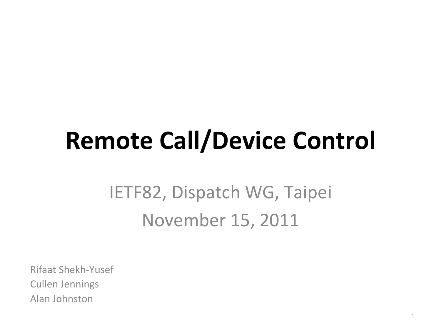### **Remote Call/Device Control**

#### IETF82, Dispatch WG, Taipei November 15, 2011

Rifaat Shekh-Yusef **Cullen Jennings** Alan Johnston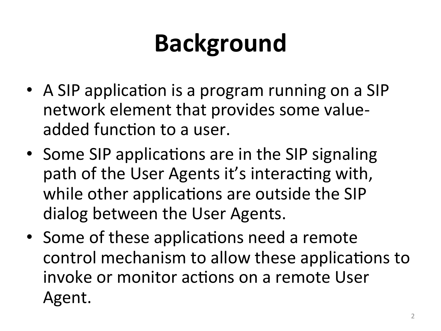# **Background&**

- A SIP application is a program running on a SIP network element that provides some valueadded function to a user.
- Some SIP applications are in the SIP signaling path of the User Agents it's interacting with, while other applications are outside the SIP dialog between the User Agents.
- Some of these applications need a remote control mechanism to allow these applications to invoke or monitor actions on a remote User Agent.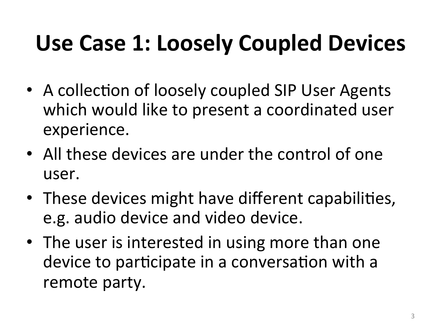### Use Case 1: Loosely Coupled Devices

- A collection of loosely coupled SIP User Agents which would like to present a coordinated user experience.
- All these devices are under the control of one user.
- These devices might have different capabilities, e.g. audio device and video device.
- The user is interested in using more than one device to participate in a conversation with a remote party.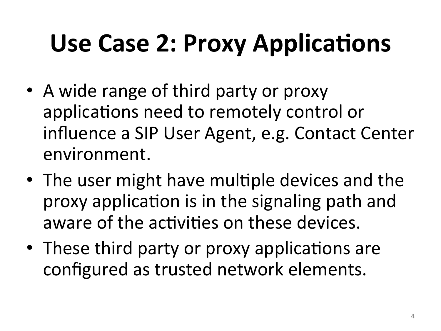# Use Case 2: Proxy Applications

- A wide range of third party or proxy applications need to remotely control or influence a SIP User Agent, e.g. Contact Center environment.
- The user might have multiple devices and the proxy application is in the signaling path and aware of the activities on these devices.
- These third party or proxy applications are configured as trusted network elements.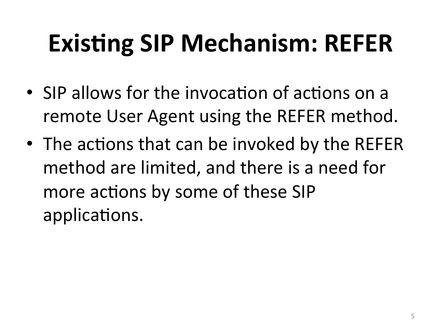### **Existing SIP Mechanism: REFER**

- SIP allows for the invocation of actions on a remote User Agent using the REFER method.
- The actions that can be invoked by the REFER method are limited, and there is a need for more actions by some of these SIP applications.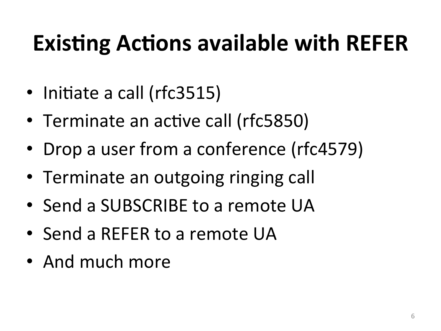### **Existing Actions available with REFER**

- Initiate a call (rfc3515)
- Terminate an active call (rfc5850)
- Drop a user from a conference (rfc4579)
- Terminate an outgoing ringing call
- Send a SUBSCRIBE to a remote UA
- Send a REFER to a remote UA
- And much more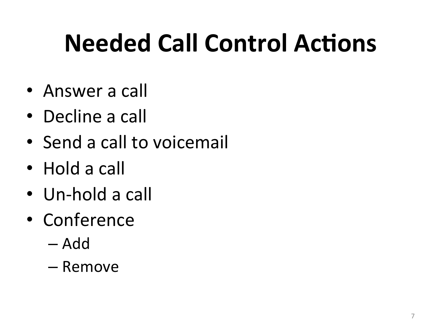# **Needed Call Control Actions**

- Answer a call
- Decline a call
- Send a call to voicemail
- $\bullet$  Hold a call
- $\bullet$  Un-hold a call
- Conference
	- Add(
	- Remove(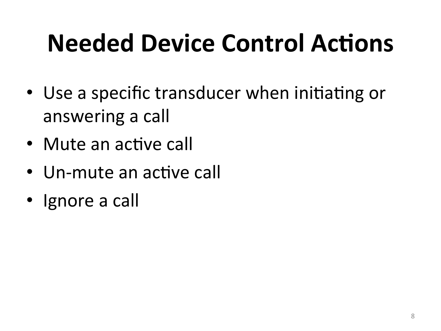# **Needed Device Control Actions**

- Use a specific transducer when initiating or answering a call
- Mute an active call
- Un-mute an active call
- Ignore a call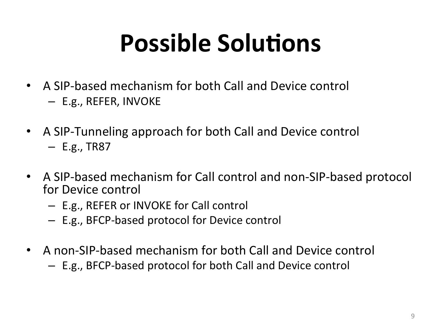### **Possible Solutions**

- A SIP-based mechanism for both Call and Device control  $-$  E.g., REFER, INVOKE
- A SIP-Tunneling approach for both Call and Device control  $-$  E.g., TR87
- A SIP-based mechanism for Call control and non-SIP-based protocol for Device control
	- E.g., REFER or INVOKE for Call control
	- $-$  E.g., BFCP-based protocol for Device control
- A non-SIP-based mechanism for both Call and Device control
	- $-$  E.g., BFCP-based protocol for both Call and Device control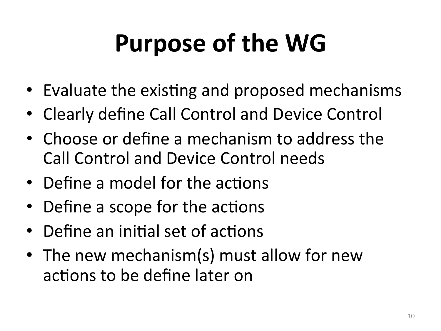# **Purpose of the WG**

- Evaluate the existing and proposed mechanisms
- Clearly define Call Control and Device Control
- Choose or define a mechanism to address the Call Control and Device Control needs
- Define a model for the actions
- Define a scope for the actions
- Define an initial set of actions
- The new mechanism(s) must allow for new actions to be define later on